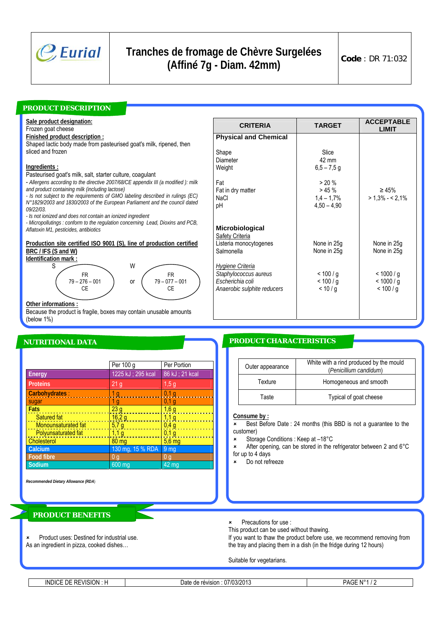

# **Tranches de fromage de Chèvre Surgelées (Affiné 7g - Diam. 42mm) Code** : DR 71:032

## *PRODUCT DESCRIPTION*

**Sale product designation:**

Frozen goat cheese

#### **Finished product description :**

Shaped lactic body made from pasteurised goat's milk, ripened, then sliced and frozen

## **Ingredients :**

Pasteurised goat's milk, salt, starter culture, coagulant

- - *Allergens according to the directive 2007/68/CE appendix III (a modified ): milk and product containing milk (including lactose)*
- *Is not subject to the requirements of GMO labeling described in rulings (EC) N°1829/2003 and 1830/2003 of the European Parliament and the council dated 09/22/03.*

*- Is not ionized and does not contain an ionized ingredient* 

*- Micropollutings : conform to the regulation concerning Lead, Dioxins and PCB, Aflatoxin M1, pesticides, antibiotics* 

## **Production site certified ISO 9001 (S), line of production certified BRC / IFS (S and W)**



**Other informations :**

Because the product is fragile, boxes may contain unusable amounts (below 1%)

|                     | Per 100 g          | Per Portion        |
|---------------------|--------------------|--------------------|
| Energy              | 1225 kJ ; 295 kcal | 86 kJ ; 21 kcal    |
| <b>Proteins</b>     | 21 <sub>g</sub>    | 1,5g               |
| Carbohydrates:      | 1 g                | 0,1,9              |
| sugar               | 1 g                | $0,1$ g            |
| <b>Fats</b>         | 23 <sub>g</sub>    | 1,6g               |
| Satured fat         | 16,29              | 1,1g               |
| Monounsaturated fat | 5,7g               | 0,4g               |
| Polyunsaturated fat | $\overline{1,1}$ g | 0,1g               |
| Cholesterol         | $80 \, \text{mg}$  | $5,6$ mg           |
| Calcium             | 130 mg, 15 % RDA   | 9 <sub>mg</sub>    |
| <b>Food fibre</b>   | 0 <sub>g</sub>     | 0 <sub>g</sub>     |
| Sodium              | $600$ mg           | $42 \overline{mg}$ |

*Recommended Dietary Allowance (RDA*)

## *PRODUCT BENEFITS*

Product uses: Destined for industrial use. As an ingredient in pizza, cooked dishes…

| <b>TARGET</b>                                       | <b>ACCEPTABLE</b><br><b>LIMIT</b> |
|-----------------------------------------------------|-----------------------------------|
|                                                     |                                   |
| Slice<br>42 mm<br>$6,5 - 7,5$ g                     |                                   |
| > 20%<br>$> 45 \%$<br>$1.4 - 1.7%$<br>$4.50 - 4.90$ | $\geq 45\%$<br>$> 1,3\% - 2,1\%$  |
| None in 25g<br>None in 25g                          | None in 25g<br>None in 25g        |
| < 100/g<br>< 100/g<br>< 10/g                        | < 1000/g<br>< 1000/g<br>< 100/g   |
|                                                     |                                   |

## *NUTRITIONAL DATA PRODUCT CHARACTERISTICS*

| Outer appearance | White with a rind produced by the mould<br>(Penicillium candidum) |  |
|------------------|-------------------------------------------------------------------|--|
| Texture          | Homogeneous and smooth                                            |  |
| Taste            | Typical of goat cheese                                            |  |

### **Consume by :**

\* Best Before Date : 24 months (this BBD is not a guarantee to the customer)

8 Storage Conditions : Keep at –18°C

After opening, can be stored in the refrigerator between 2 and 6°C for up to 4 days

Do not refreeze

Precautions for use :

This product can be used without thawing.

If you want to thaw the product before use, we recommend removing from the tray and placing them in a dish (in the fridge during 12 hours)

Suitable for vegetarians.